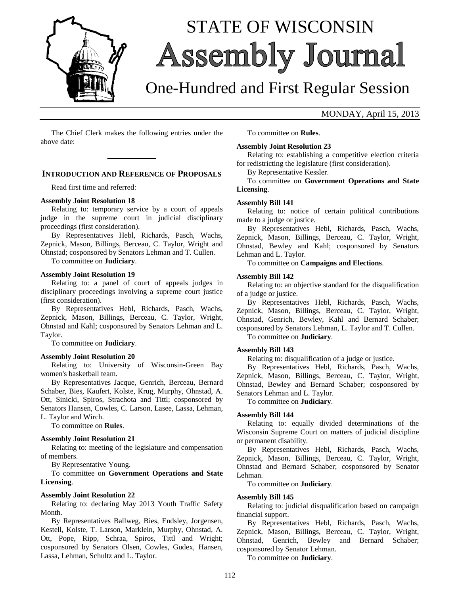

# STATE OF WISCONSIN **Assembly Journal**

# One-Hundred and First Regular Session

# MONDAY, April 15, 2013

The Chief Clerk makes the following entries under the above date:

**\_\_\_\_\_\_\_\_\_\_\_\_\_**

# **INTRODUCTION AND REFERENCE OF PROPOSALS**

Read first time and referred:

#### **Assembly Joint Resolution 18**

Relating to: temporary service by a court of appeals judge in the supreme court in judicial disciplinary proceedings (first consideration).

By Representatives Hebl, Richards, Pasch, Wachs, Zepnick, Mason, Billings, Berceau, C. Taylor, Wright and Ohnstad; cosponsored by Senators Lehman and T. Cullen.

To committee on **Judiciary**.

#### **Assembly Joint Resolution 19**

Relating to: a panel of court of appeals judges in disciplinary proceedings involving a supreme court justice (first consideration).

By Representatives Hebl, Richards, Pasch, Wachs, Zepnick, Mason, Billings, Berceau, C. Taylor, Wright, Ohnstad and Kahl; cosponsored by Senators Lehman and L. Taylor.

To committee on **Judiciary**.

#### **Assembly Joint Resolution 20**

Relating to: University of Wisconsin-Green Bay women's basketball team.

By Representatives Jacque, Genrich, Berceau, Bernard Schaber, Bies, Kaufert, Kolste, Krug, Murphy, Ohnstad, A. Ott, Sinicki, Spiros, Strachota and Tittl; cosponsored by Senators Hansen, Cowles, C. Larson, Lasee, Lassa, Lehman, L. Taylor and Wirch.

To committee on **Rules**.

# **Assembly Joint Resolution 21**

Relating to: meeting of the legislature and compensation of members.

By Representative Young.

To committee on **Government Operations and State Licensing**.

#### **Assembly Joint Resolution 22**

Relating to: declaring May 2013 Youth Traffic Safety Month.

By Representatives Ballweg, Bies, Endsley, Jorgensen, Kestell, Kolste, T. Larson, Marklein, Murphy, Ohnstad, A. Ott, Pope, Ripp, Schraa, Spiros, Tittl and Wright; cosponsored by Senators Olsen, Cowles, Gudex, Hansen, Lassa, Lehman, Schultz and L. Taylor.

To committee on **Rules**.

#### **Assembly Joint Resolution 23**

Relating to: establishing a competitive election criteria for redistricting the legislature (first consideration).

By Representative Kessler.

To committee on **Government Operations and State Licensing**.

# **Assembly Bill 141**

Relating to: notice of certain political contributions made to a judge or justice.

By Representatives Hebl, Richards, Pasch, Wachs, Zepnick, Mason, Billings, Berceau, C. Taylor, Wright, Ohnstad, Bewley and Kahl; cosponsored by Senators Lehman and L. Taylor.

To committee on **Campaigns and Elections**.

# **Assembly Bill 142**

Relating to: an objective standard for the disqualification of a judge or justice.

By Representatives Hebl, Richards, Pasch, Wachs, Zepnick, Mason, Billings, Berceau, C. Taylor, Wright, Ohnstad, Genrich, Bewley, Kahl and Bernard Schaber; cosponsored by Senators Lehman, L. Taylor and T. Cullen.

To committee on **Judiciary**.

#### **Assembly Bill 143**

Relating to: disqualification of a judge or justice.

By Representatives Hebl, Richards, Pasch, Wachs, Zepnick, Mason, Billings, Berceau, C. Taylor, Wright, Ohnstad, Bewley and Bernard Schaber; cosponsored by Senators Lehman and L. Taylor.

To committee on **Judiciary**.

#### **Assembly Bill 144**

Relating to: equally divided determinations of the Wisconsin Supreme Court on matters of judicial discipline or permanent disability.

By Representatives Hebl, Richards, Pasch, Wachs, Zepnick, Mason, Billings, Berceau, C. Taylor, Wright, Ohnstad and Bernard Schaber; cosponsored by Senator Lehman.

To committee on **Judiciary**.

# **Assembly Bill 145**

Relating to: judicial disqualification based on campaign financial support.

By Representatives Hebl, Richards, Pasch, Wachs, Zepnick, Mason, Billings, Berceau, C. Taylor, Wright, Ohnstad, Genrich, Bewley and Bernard Schaber; cosponsored by Senator Lehman.

To committee on **Judiciary**.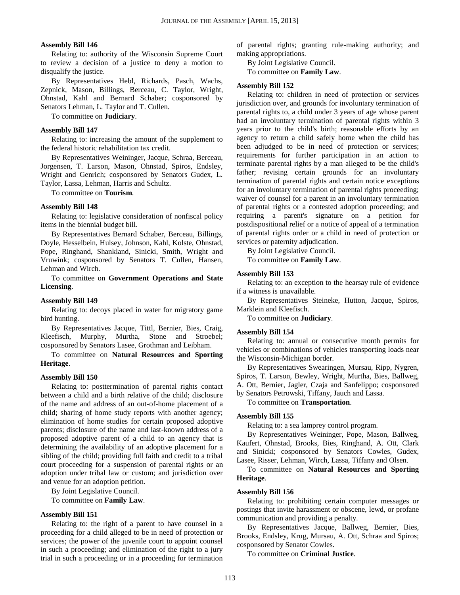#### **Assembly Bill 146**

Relating to: authority of the Wisconsin Supreme Court to review a decision of a justice to deny a motion to disqualify the justice.

By Representatives Hebl, Richards, Pasch, Wachs, Zepnick, Mason, Billings, Berceau, C. Taylor, Wright, Ohnstad, Kahl and Bernard Schaber; cosponsored by Senators Lehman, L. Taylor and T. Cullen.

To committee on **Judiciary**.

#### **Assembly Bill 147**

Relating to: increasing the amount of the supplement to the federal historic rehabilitation tax credit.

By Representatives Weininger, Jacque, Schraa, Berceau, Jorgensen, T. Larson, Mason, Ohnstad, Spiros, Endsley, Wright and Genrich; cosponsored by Senators Gudex, L. Taylor, Lassa, Lehman, Harris and Schultz.

To committee on **Tourism**.

#### **Assembly Bill 148**

Relating to: legislative consideration of nonfiscal policy items in the biennial budget bill.

By Representatives Bernard Schaber, Berceau, Billings, Doyle, Hesselbein, Hulsey, Johnson, Kahl, Kolste, Ohnstad, Pope, Ringhand, Shankland, Sinicki, Smith, Wright and Vruwink; cosponsored by Senators T. Cullen, Hansen, Lehman and Wirch.

To committee on **Government Operations and State Licensing**.

#### **Assembly Bill 149**

Relating to: decoys placed in water for migratory game bird hunting.

By Representatives Jacque, Tittl, Bernier, Bies, Craig, Kleefisch, Murphy, Murtha, Stone and Stroebel; cosponsored by Senators Lasee, Grothman and Leibham.

# To committee on **Natural Resources and Sporting Heritage**.

#### **Assembly Bill 150**

Relating to: posttermination of parental rights contact between a child and a birth relative of the child; disclosure of the name and address of an out-of-home placement of a child; sharing of home study reports with another agency; elimination of home studies for certain proposed adoptive parents; disclosure of the name and last-known address of a proposed adoptive parent of a child to an agency that is determining the availability of an adoptive placement for a sibling of the child; providing full faith and credit to a tribal court proceeding for a suspension of parental rights or an adoption under tribal law or custom; and jurisdiction over and venue for an adoption petition.

By Joint Legislative Council.

To committee on **Family Law**.

#### **Assembly Bill 151**

Relating to: the right of a parent to have counsel in a proceeding for a child alleged to be in need of protection or services; the power of the juvenile court to appoint counsel in such a proceeding; and elimination of the right to a jury trial in such a proceeding or in a proceeding for termination of parental rights; granting rule-making authority; and making appropriations.

By Joint Legislative Council.

To committee on **Family Law**.

# **Assembly Bill 152**

Relating to: children in need of protection or services jurisdiction over, and grounds for involuntary termination of parental rights to, a child under 3 years of age whose parent had an involuntary termination of parental rights within 3 years prior to the child's birth; reasonable efforts by an agency to return a child safely home when the child has been adjudged to be in need of protection or services; requirements for further participation in an action to terminate parental rights by a man alleged to be the child's father; revising certain grounds for an involuntary termination of parental rights and certain notice exceptions for an involuntary termination of parental rights proceeding; waiver of counsel for a parent in an involuntary termination of parental rights or a contested adoption proceeding; and requiring a parent's signature on a petition for postdispositional relief or a notice of appeal of a termination of parental rights order or a child in need of protection or services or paternity adjudication.

By Joint Legislative Council.

To committee on **Family Law**.

# **Assembly Bill 153**

Relating to: an exception to the hearsay rule of evidence if a witness is unavailable.

By Representatives Steineke, Hutton, Jacque, Spiros, Marklein and Kleefisch.

To committee on **Judiciary**.

#### **Assembly Bill 154**

Relating to: annual or consecutive month permits for vehicles or combinations of vehicles transporting loads near the Wisconsin-Michigan border.

By Representatives Swearingen, Mursau, Ripp, Nygren, Spiros, T. Larson, Bewley, Wright, Murtha, Bies, Ballweg, A. Ott, Bernier, Jagler, Czaja and Sanfelippo; cosponsored by Senators Petrowski, Tiffany, Jauch and Lassa.

To committee on **Transportation**.

#### **Assembly Bill 155**

Relating to: a sea lamprey control program.

By Representatives Weininger, Pope, Mason, Ballweg, Kaufert, Ohnstad, Brooks, Bies, Ringhand, A. Ott, Clark and Sinicki; cosponsored by Senators Cowles, Gudex, Lasee, Risser, Lehman, Wirch, Lassa, Tiffany and Olsen.

To committee on **Natural Resources and Sporting Heritage**.

#### **Assembly Bill 156**

Relating to: prohibiting certain computer messages or postings that invite harassment or obscene, lewd, or profane communication and providing a penalty.

By Representatives Jacque, Ballweg, Bernier, Bies, Brooks, Endsley, Krug, Mursau, A. Ott, Schraa and Spiros; cosponsored by Senator Cowles.

To committee on **Criminal Justice**.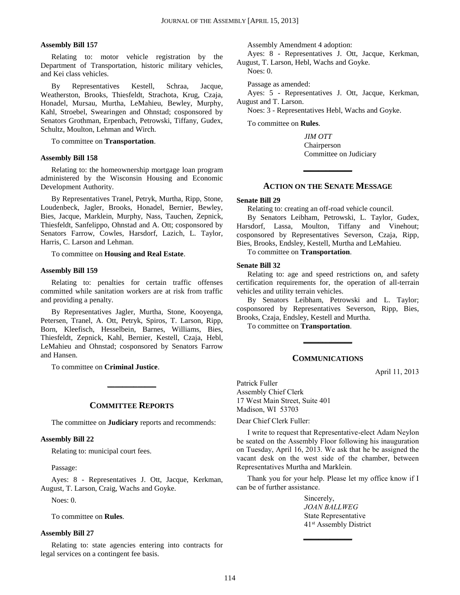# **Assembly Bill 157**

Relating to: motor vehicle registration by the Department of Transportation, historic military vehicles, and Kei class vehicles.

By Representatives Kestell, Schraa, Jacque, Weatherston, Brooks, Thiesfeldt, Strachota, Krug, Czaja, Honadel, Mursau, Murtha, LeMahieu, Bewley, Murphy, Kahl, Stroebel, Swearingen and Ohnstad; cosponsored by Senators Grothman, Erpenbach, Petrowski, Tiffany, Gudex, Schultz, Moulton, Lehman and Wirch.

To committee on **Transportation**.

#### **Assembly Bill 158**

Relating to: the homeownership mortgage loan program administered by the Wisconsin Housing and Economic Development Authority.

By Representatives Tranel, Petryk, Murtha, Ripp, Stone, Loudenbeck, Jagler, Brooks, Honadel, Bernier, Bewley, Bies, Jacque, Marklein, Murphy, Nass, Tauchen, Zepnick, Thiesfeldt, Sanfelippo, Ohnstad and A. Ott; cosponsored by Senators Farrow, Cowles, Harsdorf, Lazich, L. Taylor, Harris, C. Larson and Lehman.

To committee on **Housing and Real Estate**.

# **Assembly Bill 159**

Relating to: penalties for certain traffic offenses committed while sanitation workers are at risk from traffic and providing a penalty.

By Representatives Jagler, Murtha, Stone, Kooyenga, Petersen, Tranel, A. Ott, Petryk, Spiros, T. Larson, Ripp, Born, Kleefisch, Hesselbein, Barnes, Williams, Bies, Thiesfeldt, Zepnick, Kahl, Bernier, Kestell, Czaja, Hebl, LeMahieu and Ohnstad; cosponsored by Senators Farrow and Hansen.

To committee on **Criminal Justice**.

# **COMMITTEE REPORTS**

**\_\_\_\_\_\_\_\_\_\_\_\_\_**

The committee on **Judiciary** reports and recommends:

#### **Assembly Bill 22**

Relating to: municipal court fees.

Passage:

Ayes: 8 - Representatives J. Ott, Jacque, Kerkman, August, T. Larson, Craig, Wachs and Goyke.

Noes: 0.

To committee on **Rules**.

#### **Assembly Bill 27**

Relating to: state agencies entering into contracts for legal services on a contingent fee basis.

Assembly Amendment 4 adoption:

Ayes: 8 - Representatives J. Ott, Jacque, Kerkman, August, T. Larson, Hebl, Wachs and Goyke.

Noes: 0.

Passage as amended:

Ayes: 5 - Representatives J. Ott, Jacque, Kerkman, August and T. Larson.

Noes: 3 - Representatives Hebl, Wachs and Goyke.

To committee on **Rules**.

*JIM OTT* Chairperson Committee on Judiciary

# **ACTION ON THE SENATE MESSAGE**

**\_\_\_\_\_\_\_\_\_\_\_\_\_**

#### **Senate Bill 29**

Relating to: creating an off-road vehicle council.

By Senators Leibham, Petrowski, L. Taylor, Gudex, Harsdorf, Lassa, Moulton, Tiffany and Vinehout; cosponsored by Representatives Severson, Czaja, Ripp, Bies, Brooks, Endsley, Kestell, Murtha and LeMahieu.

To committee on **Transportation**.

#### **Senate Bill 32**

Relating to: age and speed restrictions on, and safety certification requirements for, the operation of all-terrain vehicles and utility terrain vehicles.

By Senators Leibham, Petrowski and L. Taylor; cosponsored by Representatives Severson, Ripp, Bies, Brooks, Czaja, Endsley, Kestell and Murtha.

To committee on **Transportation**.

# **COMMUNICATIONS**

**\_\_\_\_\_\_\_\_\_\_\_\_\_**

April 11, 2013

Patrick Fuller Assembly Chief Clerk 17 West Main Street, Suite 401 Madison, WI 53703

Dear Chief Clerk Fuller:

I write to request that Representative-elect Adam Neylon be seated on the Assembly Floor following his inauguration on Tuesday, April 16, 2013. We ask that he be assigned the vacant desk on the west side of the chamber, between Representatives Murtha and Marklein.

Thank you for your help. Please let my office know if I can be of further assistance.

**\_\_\_\_\_\_\_\_\_\_\_\_\_**

Sincerely, *JOAN BALLWEG* State Representative 41st Assembly District